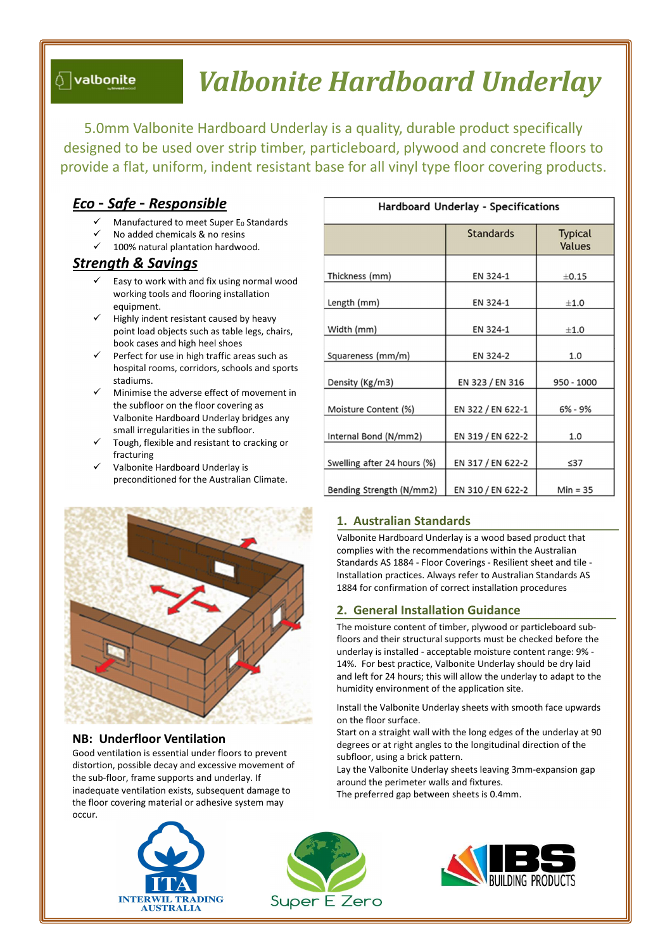# $\mathbin{\Diamond}$  valbonite

# Valbonite Hardboard Underlay

1. Australian Standards

2. General Installation Guidance

humidity environment of the application site.

on the floor surface.

subfloor, using a brick pattern.

around the perimeter walls and fixtures. The preferred gap between sheets is 0.4mm.

5.0mm Valbonite Hardboard Underlay is a quality, durable product specifically designed to be used over strip timber, particleboard, plywood and concrete floors to provide a flat, uniform, indent resistant base for all vinyl type floor covering products.

# Eco – Safe – Responsible

- Manufactured to meet Super  $E_0$  Standards
- No added chemicals & no resins
- 100% natural plantation hardwood.

# Strength & Savings

- Easy to work with and fix using normal wood working tools and flooring installation equipment.
- Highly indent resistant caused by heavy point load objects such as table legs, chairs, book cases and high heel shoes
- Perfect for use in high traffic areas such as hospital rooms, corridors, schools and sports stadiums.
- Minimise the adverse effect of movement in the subfloor on the floor covering as Valbonite Hardboard Underlay bridges any small irregularities in the subfloor.
- Tough, flexible and resistant to cracking or fracturing
- Valbonite Hardboard Underlay is preconditioned for the Australian Climate.

| Hardboard Underlay - Specifications |                   |                                 |
|-------------------------------------|-------------------|---------------------------------|
|                                     | <b>Standards</b>  | <b>Typical</b><br><b>Values</b> |
| Thickness (mm)                      | EN 324-1          | $\pm$ 0.15                      |
| Length (mm)                         | EN 324-1          | ±1.0                            |
| Width (mm)                          | EN 324-1          | ±1.0                            |
| Squareness (mm/m)                   | EN 324-2          | 1.0                             |
| Density (Kg/m3)                     | EN 323 / EN 316   | 950 - 1000                      |
| Moisture Content (%)                | EN 322 / EN 622-1 | $6% - 9%$                       |
| Internal Bond (N/mm2)               | EN 319 / EN 622-2 | 1.0                             |
| Swelling after 24 hours (%)         | EN 317 / EN 622-2 | $\leq$ 37                       |
| Bending Strength (N/mm2)            | EN 310 / EN 622-2 | $Min = 35$                      |

Valbonite Hardboard Underlay is a wood based product that complies with the recommendations within the Australian Standards AS 1884 - Floor Coverings - Resilient sheet and tile - Installation practices. Always refer to Australian Standards AS 1884 for confirmation of correct installation procedures

The moisture content of timber, plywood or particleboard subfloors and their structural supports must be checked before the underlay is installed - acceptable moisture content range: 9% - 14%. For best practice, Valbonite Underlay should be dry laid and left for 24 hours; this will allow the underlay to adapt to the

Install the Valbonite Underlay sheets with smooth face upwards

Start on a straight wall with the long edges of the underlay at 90 degrees or at right angles to the longitudinal direction of the

Lay the Valbonite Underlay sheets leaving 3mm-expansion gap



# NB: Underfloor Ventilation

Good ventilation is essential under floors to prevent distortion, possible decay and excessive movement of the sub-floor, frame supports and underlay. If inadequate ventilation exists, subsequent damage to the floor covering material or adhesive system may occur.